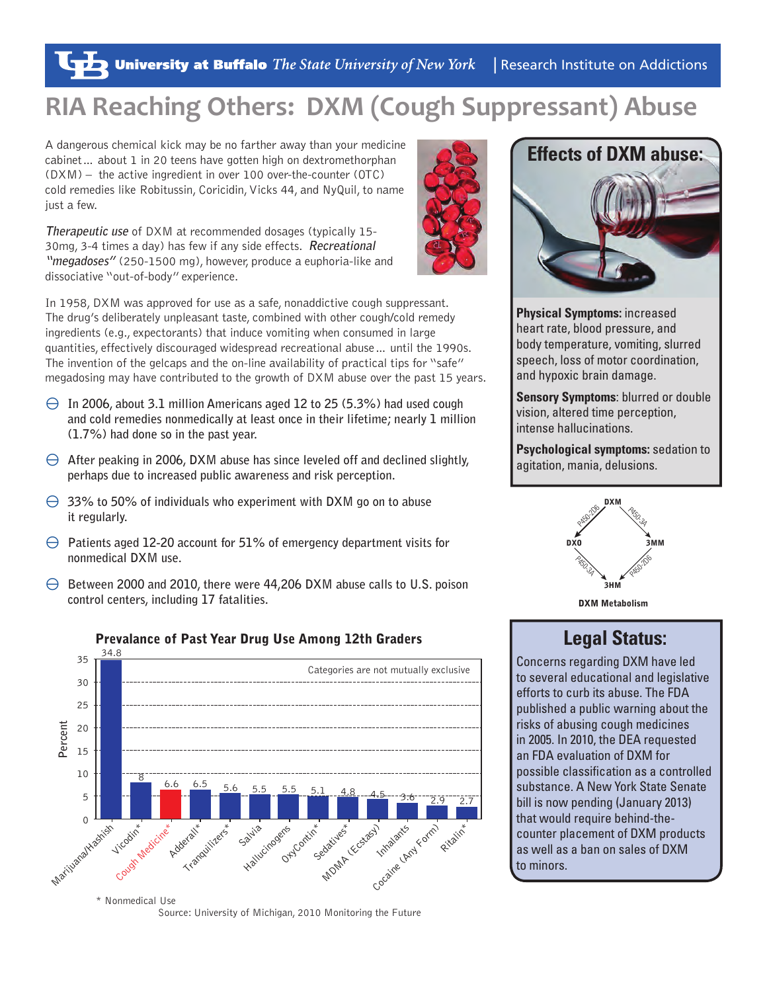# **RIA Reaching Others: DXM (Cough Suppressant) Abuse**

A dangerous chemical kick may be no farther away than your medicine cabinet… about 1 in 20 teens have gotten high on dextromethorphan (DXM) – the active ingredient in over 100 over-the-counter (OTC) cold remedies like Robitussin, Coricidin, Vicks 44, and NyQuil, to name just a few.

**Therapeutic use** of DXM at recommended dosages (typically 15- 30mg, 3-4 times a day) has few if any side effects. **Recreational "megadoses"** (250-1500 mg), however, produce a euphoria-like and dissociative "out-of-body" experience.

In 1958, DXM was approved for use as a safe, nonaddictive cough suppressant. The drug's deliberately unpleasant taste, combined with other cough/cold remedy ingredients (e.g., expectorants) that induce vomiting when consumed in large quantities, effectively discouraged widespread recreational abuse… until the 1990s. The invention of the gelcaps and the on-line availability of practical tips for "safe" megadosing may have contributed to the growth of DXM abuse over the past 15 years.

- $\Theta$  In 2006, about 3.1 million Americans aged 12 to 25 (5.3%) had used cough **and cold remedies nonmedically at least once in their lifetime; nearly 1 million (1.7%) had done so in the past year.**
- $\Theta$  After peaking in 2006, DXM abuse has since leveled off and declined slightly, **perhaps due to increased public awareness and risk perception.**
- $\Theta$  33% to 50% of individuals who experiment with DXM go on to abuse **it regularly.**
- $\Theta$  Patients aged 12-20 account for 51% of emergency department visits for **nonmedical DXM use.**
- \ **Between 2000 and 2010, there were 44,206 DXM abuse calls to U.S. poison control centers, including 17 fatalities.**



Prevalance of Past Year Drug Use Among 12th Graders **Legal Status:** 

Source: University of Michigan, 2010 Monitoring the Future



**Physical Symptoms:** increased heart rate, blood pressure, and body temperature, vomiting, slurred speech, loss of motor coordination, and hypoxic brain damage.

**Sensory Symptoms**: blurred or double vision, altered time perception, intense hallucinations.

**Psychological symptoms:** sedation to agitation, mania, delusions.



DXM Metabolism

Concerns regarding DXM have led to several educational and legislative efforts to curb its abuse. The FDA published a public warning about the risks of abusing cough medicines in 2005. In 2010, the DEA requested an FDA evaluation of DXM for possible classification as a controlled substance. A New York State Senate bill is now pending (January 2013) that would require behind-thecounter placement of DXM products as well as a ban on sales of DXM to minors.